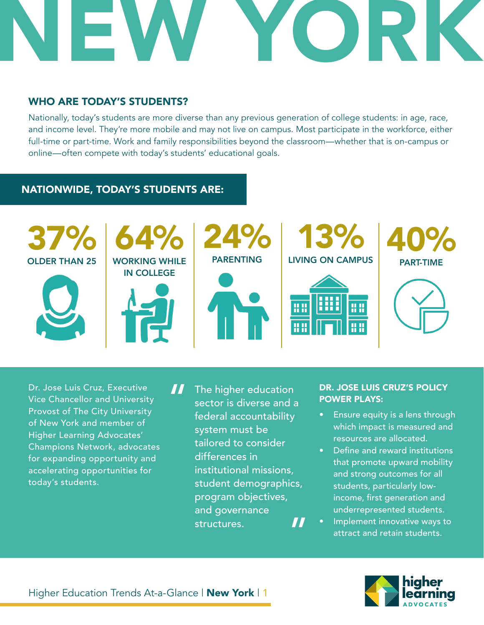

## WHO ARE TODAY'S STUDENTS?

Nationally, today's students are more diverse than any previous generation of college students: in age, race, and income level. They're more mobile and may not live on campus. Most participate in the workforce, either full-time or part-time. Work and family responsibilities beyond the classroom—whether that is on-campus or online—often compete with today's students' educational goals.

## NATIONWIDE, TODAY'S STUDENTS ARE:



Dr. Jose Luis Cruz, Executive Vice Chancellor and University Provost of The City University of New York and member of Higher Learning Advocates' Champions Network, advocates for expanding opportunity and accelerating opportunities for today's students.

The higher education sector is diverse and a federal accountability system must be tailored to consider differences in institutional missions, student demographics, program objectives, and governance structures. " "

#### DR. JOSE LUIS CRUZ'S POLICY POWER PLAYS:

- Ensure equity is a lens through which impact is measured and resources are allocated.
- Define and reward institutions that promote upward mobility and strong outcomes for all students, particularly lowincome, first generation and underrepresented students.
- Implement innovative ways to attract and retain students.

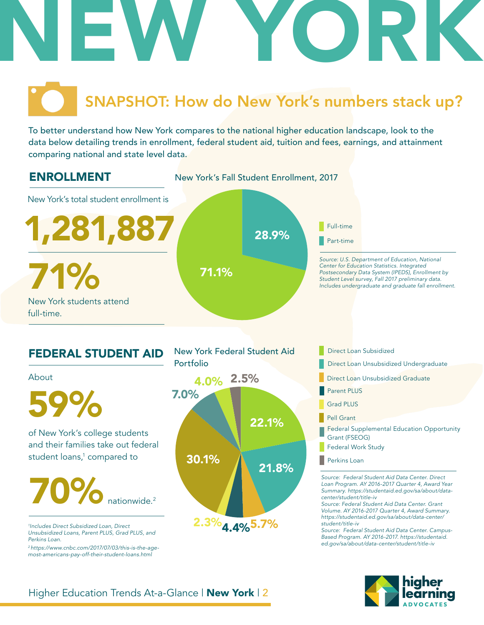

# SNAPSHOT: How do New York's numbers stack up?

To better understand how New York compares to the national higher education landscape, look to the data below detailing trends in enrollment, federal student aid, tuition and fees, earnings, and attainment comparing national and state level data.



## Higher Education Trends At-a-Glance | New York | 2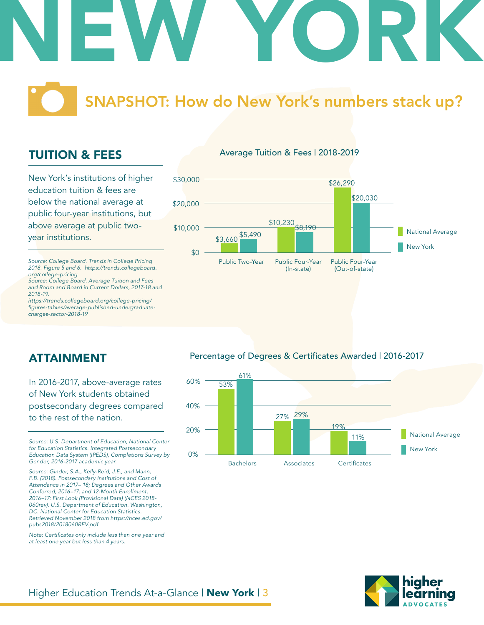

SNAPSHOT: How do New York's numbers stack up?

## TUITION & FEES

New York's institutions of higher education tuition & fees are below the national average at public four-year institutions, but above average at public twoyear institutions.

*Source: College Board. Trends in College Pricing 2018. Figure 5 and 6. https://trends.collegeboard. org/college-pricing*

*Source: College Board. Average Tuition and Fees and Room and Board in Current Dollars, 2017-18 and 2018-19.*

*https://trends.collegeboard.org/college-pricing/* figures-tables/average-published-undergraduate*charges-sector-2018-19*

#### Average Tuition & Fees | 2018-2019



ATTAINMENT

In 2016-2017, above-average rates of New York students obtained postsecondary degrees compared to the rest of the nation.

*Source: U.S. Department of Education, National Center for Education Statistics. Integrated Postsecondary Education Data System (IPEDS), Completions Survey by Gender, 2016-2017 academic year.* 

*Source: Ginder, S.A., Kelly-Reid, J.E., and Mann, F.B. (2018). Postsecondary Institutions and Cost of Attendance in 2017– 18; Degrees and Other Awards Conferred, 2016–17; and 12-Month Enrollment, 2016–17: First Look (Provisional Data) (NCES 2018- 060rev). U.S. Department of Education. Washington, DC: National Center for Education Statistics. Retrieved November 2018 from https://nces.ed.gov/ pubs2018/2018060REV.pdf*

Note: Certificates only include less than one year and *at least one year but less than 4 years.* 

#### Percentage of Degrees & Certificates Awarded | 2016-2017



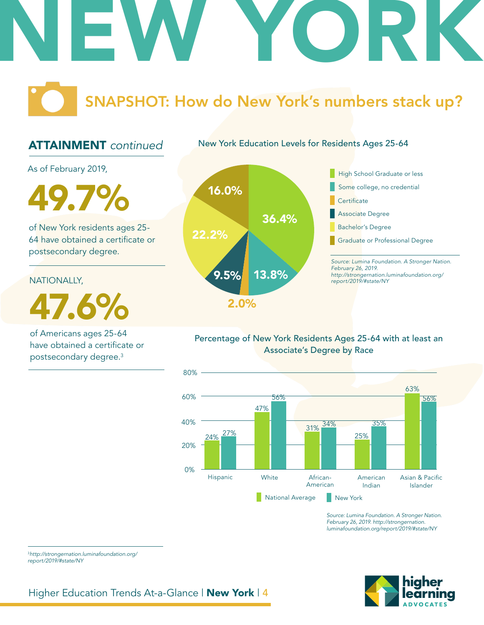

## SNAPSHOT: How do New York's numbers stack up?

## ATTAINMENT *continued*

New York Education Levels for Residents Ages 25-64

As of February 2019,

**19.7%** 16.0%

of New York residents ages 25- 64 have obtained a certificate or postsecondary degree.

NATIONALLY,

47.6%

of Americans ages 25-64 have obtained a certificate or postsecondary degree.3





### Percentage of New York Residents Ages 25-64 with at least an Associate's Degree by Race



*Source: Lumina Foundation. A Stronger Nation. February 26, 2019. http://strongernation. luminafoundation.org/report/2019/#state/NY*



<sup>3</sup>*http://strongernation.luminafoundation.org/ report/2019/#state/NY*

Higher Education Trends At-a-Glance | New York | 4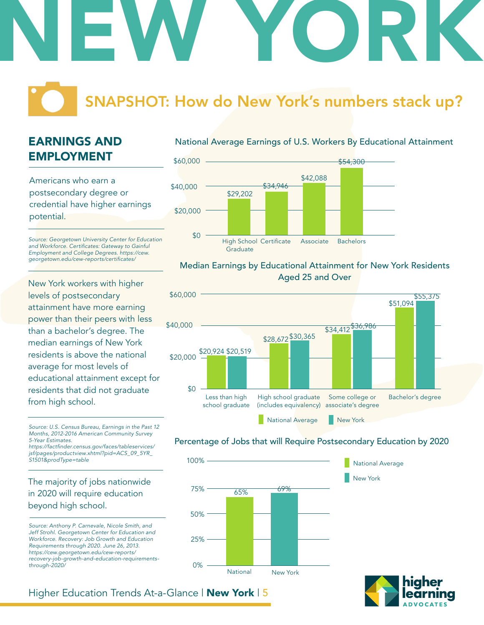# NEW YORK

# SNAPSHOT: How do New York's numbers stack up?

## EARNINGS AND EMPLOYMENT

Americans who earn a postsecondary degree or credential have higher earnings potential.

*Source: Georgetown University Center for Education*  and Workforce. Certificates: Gateway to Gainful *Employment and College Degrees. https://cew.* georgetown.edu/cew-reports/certificates/

New York workers with higher levels of postsecondary attainment have more earning power than their peers with less than a bachelor's degree. The median earnings of New York residents is above the national average for most levels of educational attainment except for residents that did not graduate from high school.

*Source: U.S. Census Bureau, Earnings in the Past 12 Months, 2012-2016 American Community Survey 5-Year Estimates.* https://factfinder.census.gov/faces/tableservices/

*jsf/pages/productview.xhtml?pid=ACS\_09\_5YR\_ S1501&prodType=table*

## The majority of jobs nationwide in 2020 will require education beyond high school.

*Source: Anthony P. Carnevale, Nicole Smith, and Jeff Strohl. Georgetown Center for Education and Workforce. Recovery: Job Growth and Education Requirements through 2020. June 26, 2013. https://cew.georgetown.edu/cew-reports/ recovery-job-growth-and-education-requirementsthrough-2020/*

#### National Average Earnings of U.S. Workers By Educational Attainment



#### Median Earnings by Educational Attainment for New York Residents Aged 25 and Over



#### Percentage of Jobs that will Require Postsecondary Education by 2020

New York

National Average



#### Higher Education Trends At-a-Glance | New York | 5